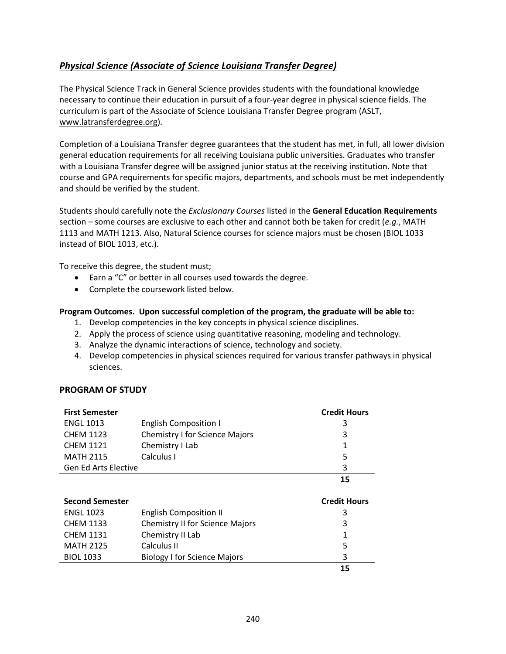## <span id="page-0-0"></span>*[Physical Science \(Associate of Science Louisiana](#page-0-0) Transfer Degree)*

The Physical Science Track in General Science provides students with the foundational knowledge necessary to continue their education in pursuit of a four-year degree in physical science fields. The curriculum is part of the Associate of Science Louisiana Transfer Degree program (ASLT, [www.latransferdegree.org\)](http://www.latransferdegree.org/).

Completion of a Louisiana Transfer degree guarantees that the student has met, in full, all lower division general education requirements for all receiving Louisiana public universities. Graduates who transfer with a Louisiana Transfer degree will be assigned junior status at the receiving institution. Note that course and GPA requirements for specific majors, departments, and schools must be met independently and should be verified by the student.

Students should carefully note the *Exclusionary Courses* listed in the **General Education Requirements** section – some courses are exclusive to each other and cannot both be taken for credit (*e.g.*, MATH 1113 and MATH 1213. Also, Natural Science courses for science majors must be chosen (BIOL 1033 instead of BIOL 1013, etc.).

To receive this degree, the student must;

- Earn a "C" or better in all courses used towards the degree.
- Complete the coursework listed below.

## **Program Outcomes. Upon successful completion of the program, the graduate will be able to:**

- 1. Develop competencies in the key concepts in physical science disciplines.
- 2. Apply the process of science using quantitative reasoning, modeling and technology.
- 3. Analyze the dynamic interactions of science, technology and society.
- 4. Develop competencies in physical sciences required for various transfer pathways in physical sciences.

## **PROGRAM OF STUDY**

| <b>First Semester</b>       |                                        | <b>Credit Hours</b> |
|-----------------------------|----------------------------------------|---------------------|
| <b>ENGL 1013</b>            | <b>English Composition I</b>           | 3                   |
| <b>CHEM 1123</b>            | <b>Chemistry I for Science Majors</b>  | 3                   |
| <b>CHEM 1121</b>            | Chemistry I Lab                        | 1                   |
| <b>MATH 2115</b>            | Calculus I                             | 5                   |
| <b>Gen Ed Arts Elective</b> |                                        | 3                   |
|                             |                                        | 15                  |
|                             |                                        |                     |
|                             |                                        |                     |
| <b>Second Semester</b>      |                                        | <b>Credit Hours</b> |
| <b>ENGL 1023</b>            | <b>English Composition II</b>          | 3                   |
| <b>CHEM 1133</b>            | <b>Chemistry II for Science Majors</b> | 3                   |
| <b>CHEM 1131</b>            | Chemistry II Lab                       | 1                   |
| <b>MATH 2125</b>            | Calculus II                            | 5                   |
| <b>BIOL 1033</b>            | <b>Biology I for Science Majors</b>    | 3                   |